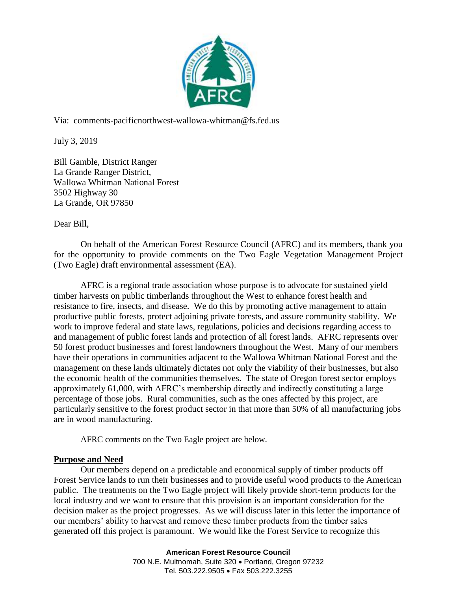

Via: comments-pacificnorthwest-wallowa-whitman@fs.fed.us

July 3, 2019

Bill Gamble, District Ranger La Grande Ranger District, Wallowa Whitman National Forest 3502 Highway 30 La Grande, OR 97850

Dear Bill,

On behalf of the American Forest Resource Council (AFRC) and its members, thank you for the opportunity to provide comments on the Two Eagle Vegetation Management Project (Two Eagle) draft environmental assessment (EA).

AFRC is a regional trade association whose purpose is to advocate for sustained yield timber harvests on public timberlands throughout the West to enhance forest health and resistance to fire, insects, and disease. We do this by promoting active management to attain productive public forests, protect adjoining private forests, and assure community stability. We work to improve federal and state laws, regulations, policies and decisions regarding access to and management of public forest lands and protection of all forest lands. AFRC represents over 50 forest product businesses and forest landowners throughout the West. Many of our members have their operations in communities adjacent to the Wallowa Whitman National Forest and the management on these lands ultimately dictates not only the viability of their businesses, but also the economic health of the communities themselves. The state of Oregon forest sector employs approximately 61,000, with AFRC's membership directly and indirectly constituting a large percentage of those jobs. Rural communities, such as the ones affected by this project, are particularly sensitive to the forest product sector in that more than 50% of all manufacturing jobs are in wood manufacturing.

AFRC comments on the Two Eagle project are below.

# **Purpose and Need**

Our members depend on a predictable and economical supply of timber products off Forest Service lands to run their businesses and to provide useful wood products to the American public. The treatments on the Two Eagle project will likely provide short-term products for the local industry and we want to ensure that this provision is an important consideration for the decision maker as the project progresses. As we will discuss later in this letter the importance of our members' ability to harvest and remove these timber products from the timber sales generated off this project is paramount. We would like the Forest Service to recognize this

> **American Forest Resource Council** 700 N.E. Multnomah, Suite 320 · Portland, Oregon 97232 Tel. 503.222.9505 · Fax 503.222.3255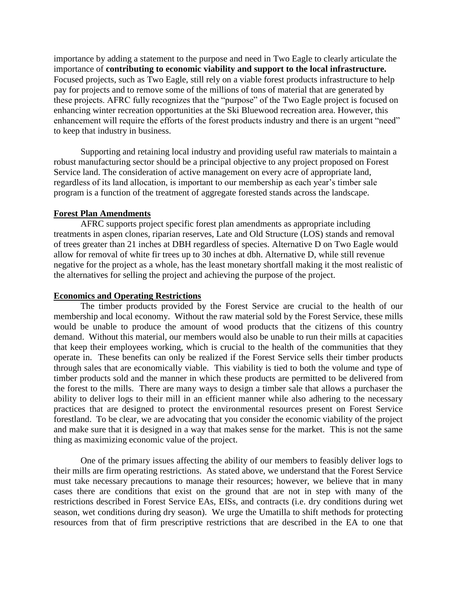importance by adding a statement to the purpose and need in Two Eagle to clearly articulate the importance of **contributing to economic viability and support to the local infrastructure.**  Focused projects, such as Two Eagle, still rely on a viable forest products infrastructure to help pay for projects and to remove some of the millions of tons of material that are generated by these projects. AFRC fully recognizes that the "purpose" of the Two Eagle project is focused on enhancing winter recreation opportunities at the Ski Bluewood recreation area. However, this enhancement will require the efforts of the forest products industry and there is an urgent "need" to keep that industry in business.

Supporting and retaining local industry and providing useful raw materials to maintain a robust manufacturing sector should be a principal objective to any project proposed on Forest Service land. The consideration of active management on every acre of appropriate land, regardless of its land allocation, is important to our membership as each year's timber sale program is a function of the treatment of aggregate forested stands across the landscape.

### **Forest Plan Amendments**

AFRC supports project specific forest plan amendments as appropriate including treatments in aspen clones, riparian reserves, Late and Old Structure (LOS) stands and removal of trees greater than 21 inches at DBH regardless of species. Alternative D on Two Eagle would allow for removal of white fir trees up to 30 inches at dbh. Alternative D, while still revenue negative for the project as a whole, has the least monetary shortfall making it the most realistic of the alternatives for selling the project and achieving the purpose of the project.

### **Economics and Operating Restrictions**

The timber products provided by the Forest Service are crucial to the health of our membership and local economy. Without the raw material sold by the Forest Service, these mills would be unable to produce the amount of wood products that the citizens of this country demand. Without this material, our members would also be unable to run their mills at capacities that keep their employees working, which is crucial to the health of the communities that they operate in. These benefits can only be realized if the Forest Service sells their timber products through sales that are economically viable. This viability is tied to both the volume and type of timber products sold and the manner in which these products are permitted to be delivered from the forest to the mills. There are many ways to design a timber sale that allows a purchaser the ability to deliver logs to their mill in an efficient manner while also adhering to the necessary practices that are designed to protect the environmental resources present on Forest Service forestland. To be clear, we are advocating that you consider the economic viability of the project and make sure that it is designed in a way that makes sense for the market. This is not the same thing as maximizing economic value of the project.

One of the primary issues affecting the ability of our members to feasibly deliver logs to their mills are firm operating restrictions. As stated above, we understand that the Forest Service must take necessary precautions to manage their resources; however, we believe that in many cases there are conditions that exist on the ground that are not in step with many of the restrictions described in Forest Service EAs, EISs, and contracts (i.e. dry conditions during wet season, wet conditions during dry season). We urge the Umatilla to shift methods for protecting resources from that of firm prescriptive restrictions that are described in the EA to one that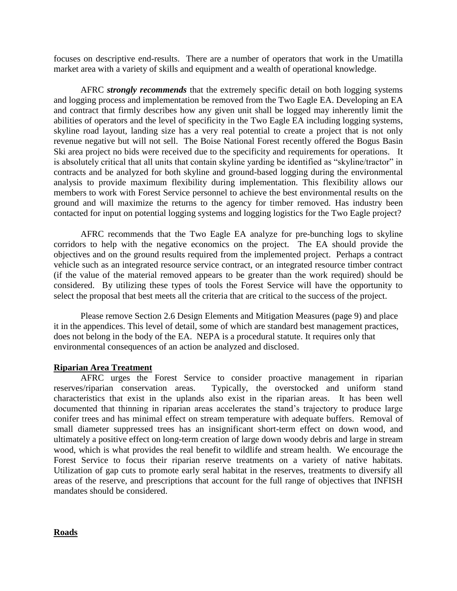focuses on descriptive end-results. There are a number of operators that work in the Umatilla market area with a variety of skills and equipment and a wealth of operational knowledge.

AFRC *strongly recommends* that the extremely specific detail on both logging systems and logging process and implementation be removed from the Two Eagle EA. Developing an EA and contract that firmly describes how any given unit shall be logged may inherently limit the abilities of operators and the level of specificity in the Two Eagle EA including logging systems, skyline road layout, landing size has a very real potential to create a project that is not only revenue negative but will not sell. The Boise National Forest recently offered the Bogus Basin Ski area project no bids were received due to the specificity and requirements for operations. It is absolutely critical that all units that contain skyline yarding be identified as "skyline/tractor" in contracts and be analyzed for both skyline and ground-based logging during the environmental analysis to provide maximum flexibility during implementation. This flexibility allows our members to work with Forest Service personnel to achieve the best environmental results on the ground and will maximize the returns to the agency for timber removed. Has industry been contacted for input on potential logging systems and logging logistics for the Two Eagle project?

AFRC recommends that the Two Eagle EA analyze for pre-bunching logs to skyline corridors to help with the negative economics on the project. The EA should provide the objectives and on the ground results required from the implemented project. Perhaps a contract vehicle such as an integrated resource service contract, or an integrated resource timber contract (if the value of the material removed appears to be greater than the work required) should be considered. By utilizing these types of tools the Forest Service will have the opportunity to select the proposal that best meets all the criteria that are critical to the success of the project.

Please remove Section 2.6 Design Elements and Mitigation Measures (page 9) and place it in the appendices. This level of detail, some of which are standard best management practices, does not belong in the body of the EA. NEPA is a procedural statute. It requires only that environmental consequences of an action be analyzed and disclosed.

# **Riparian Area Treatment**

AFRC urges the Forest Service to consider proactive management in riparian reserves/riparian conservation areas. Typically, the overstocked and uniform stand characteristics that exist in the uplands also exist in the riparian areas. It has been well documented that thinning in riparian areas accelerates the stand's trajectory to produce large conifer trees and has minimal effect on stream temperature with adequate buffers. Removal of small diameter suppressed trees has an insignificant short-term effect on down wood, and ultimately a positive effect on long-term creation of large down woody debris and large in stream wood, which is what provides the real benefit to wildlife and stream health. We encourage the Forest Service to focus their riparian reserve treatments on a variety of native habitats. Utilization of gap cuts to promote early seral habitat in the reserves, treatments to diversify all areas of the reserve, and prescriptions that account for the full range of objectives that INFISH mandates should be considered.

# **Roads**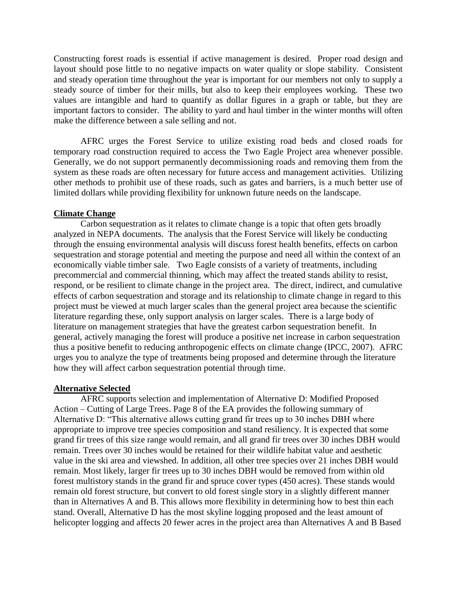Constructing forest roads is essential if active management is desired. Proper road design and layout should pose little to no negative impacts on water quality or slope stability. Consistent and steady operation time throughout the year is important for our members not only to supply a steady source of timber for their mills, but also to keep their employees working. These two values are intangible and hard to quantify as dollar figures in a graph or table, but they are important factors to consider. The ability to yard and haul timber in the winter months will often make the difference between a sale selling and not.

AFRC urges the Forest Service to utilize existing road beds and closed roads for temporary road construction required to access the Two Eagle Project area whenever possible. Generally, we do not support permanently decommissioning roads and removing them from the system as these roads are often necessary for future access and management activities. Utilizing other methods to prohibit use of these roads, such as gates and barriers, is a much better use of limited dollars while providing flexibility for unknown future needs on the landscape.

## **Climate Change**

Carbon sequestration as it relates to climate change is a topic that often gets broadly analyzed in NEPA documents. The analysis that the Forest Service will likely be conducting through the ensuing environmental analysis will discuss forest health benefits, effects on carbon sequestration and storage potential and meeting the purpose and need all within the context of an economically viable timber sale. Two Eagle consists of a variety of treatments, including precommercial and commercial thinning, which may affect the treated stands ability to resist, respond, or be resilient to climate change in the project area. The direct, indirect, and cumulative effects of carbon sequestration and storage and its relationship to climate change in regard to this project must be viewed at much larger scales than the general project area because the scientific literature regarding these, only support analysis on larger scales. There is a large body of literature on management strategies that have the greatest carbon sequestration benefit. In general, actively managing the forest will produce a positive net increase in carbon sequestration thus a positive benefit to reducing anthropogenic effects on climate change (IPCC, 2007). AFRC urges you to analyze the type of treatments being proposed and determine through the literature how they will affect carbon sequestration potential through time.

### **Alternative Selected**

AFRC supports selection and implementation of Alternative D: Modified Proposed Action – Cutting of Large Trees. Page 8 of the EA provides the following summary of Alternative D: "This alternative allows cutting grand fir trees up to 30 inches DBH where appropriate to improve tree species composition and stand resiliency. It is expected that some grand fir trees of this size range would remain, and all grand fir trees over 30 inches DBH would remain. Trees over 30 inches would be retained for their wildlife habitat value and aesthetic value in the ski area and viewshed. In addition, all other tree species over 21 inches DBH would remain. Most likely, larger fir trees up to 30 inches DBH would be removed from within old forest multistory stands in the grand fir and spruce cover types (450 acres). These stands would remain old forest structure, but convert to old forest single story in a slightly different manner than in Alternatives A and B. This allows more flexibility in determining how to best thin each stand. Overall, Alternative D has the most skyline logging proposed and the least amount of helicopter logging and affects 20 fewer acres in the project area than Alternatives A and B Based